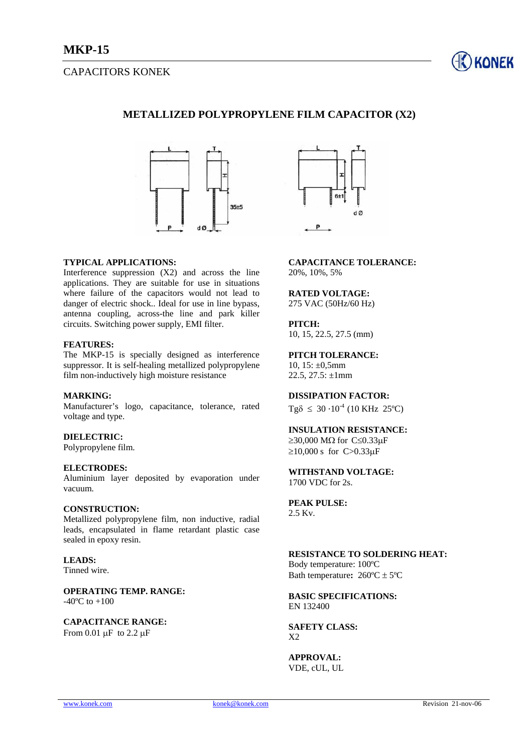# CAPACITORS KONEK



## **METALLIZED POLYPROPYLENE FILM CAPACITOR (X2)**



## **TYPICAL APPLICATIONS:**

Interference suppression  $(X2)$  and across the line applications. They are suitable for use in situations where failure of the capacitors would not lead to danger of electric shock.. Ideal for use in line bypass, antenna coupling, across-the line and park killer circuits. Switching power supply, EMI filter.

### **FEATURES:**

The MKP-15 is specially designed as interference suppressor. It is self-healing metallized polypropylene film non-inductively high moisture resistance

### **MARKING:**

Manufacturer's logo, capacitance, tolerance, rated voltage and type.

## **DIELECTRIC:**

Polypropylene film.

#### **ELECTRODES:**

Aluminium layer deposited by evaporation under vacuum.

#### **CONSTRUCTION:**

Metallized polypropylene film, non inductive, radial leads, encapsulated in flame retardant plastic case sealed in epoxy resin.

**LEADS:**  Tinned wire.

**OPERATING TEMP. RANGE:**   $-40^{\circ}$ C to  $+100$ 

**CAPACITANCE RANGE:**  From 0.01  $\mu$ F to 2.2  $\mu$ F



**CAPACITANCE TOLERANCE:**  20%, 10%, 5%

#### **RATED VOLTAGE:**  275 VAC (50Hz/60 Hz)

**PITCH:** 

10, 15, 22.5, 27.5 (mm)

#### **PITCH TOLERANCE:**

10,  $15: \pm 0,5$ mm 22.5, 27.5:  $\pm 1$ mm

## **DISSIPATION FACTOR:**

 $Tg\delta \leq 30 \cdot 10^{-4}$  (10 KHz 25°C)

## **INSULATION RESISTANCE:**

 $≥$ 30,000 MΩ for C≤0.33μF  $≥10,000$  s for C>0.33 $\mu$ F

**WITHSTAND VOLTAGE:**  1700 VDC for 2s.

**PEAK PULSE:**  2.5 Kv.

## **RESISTANCE TO SOLDERING HEAT:**

Body temperature: 100ºC Bath temperature**:** 260ºC ± 5ºC

#### **BASIC SPECIFICATIONS:**  EN 132400

**SAFETY CLASS:**  X2

**APPROVAL:**  VDE, cUL, UL